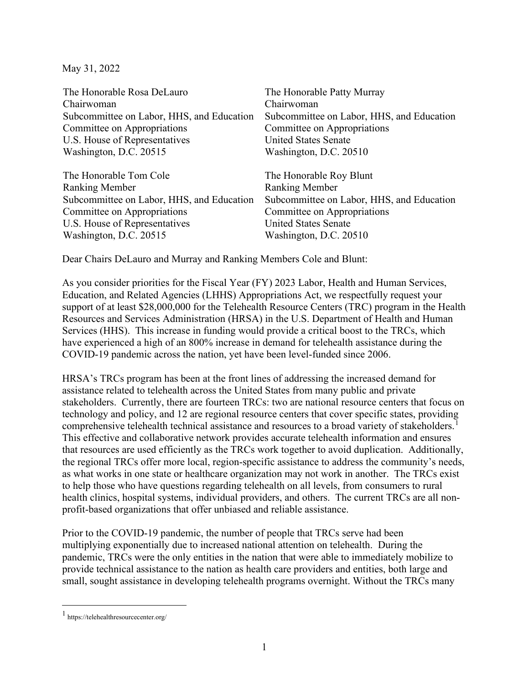May 31, 2022

| The Honorable Rosa DeLauro                | The Honorable Patty Murray                |
|-------------------------------------------|-------------------------------------------|
| Chairwoman                                | Chairwoman                                |
| Subcommittee on Labor, HHS, and Education | Subcommittee on Labor, HHS, and Education |
| Committee on Appropriations               | Committee on Appropriations               |
| U.S. House of Representatives             | <b>United States Senate</b>               |
| Washington, D.C. 20515                    | Washington, D.C. 20510                    |
| The Honorable Tom Cole                    | The Honorable Roy Blunt                   |
| <b>Ranking Member</b>                     | <b>Ranking Member</b>                     |
| Subcommittee on Labor, HHS, and Education | Subcommittee on Labor, HHS, and Education |
| Committee on Appropriations               | Committee on Appropriations               |
| U.S. House of Representatives             | <b>United States Senate</b>               |
| Washington, D.C. 20515                    | Washington, D.C. 20510                    |
|                                           |                                           |

Dear Chairs DeLauro and Murray and Ranking Members Cole and Blunt:

As you consider priorities for the Fiscal Year (FY) 2023 Labor, Health and Human Services, Education, and Related Agencies (LHHS) Appropriations Act, we respectfully request your support of at least \$28,000,000 for the Telehealth Resource Centers (TRC) program in the Health Resources and Services Administration (HRSA) in the U.S. Department of Health and Human Services (HHS). This increase in funding would provide a critical boost to the TRCs, which have experienced a high of an 800% increase in demand for telehealth assistance during the COVID-19 pandemic across the nation, yet have been level-funded since 2006.

HRSA's TRCs program has been at the front lines of addressing the increased demand for assistance related to telehealth across the United States from many public and private stakeholders. Currently, there are fourteen TRCs: two are national resource centers that focus on technology and policy, and 12 are regional resource centers that cover specific states, providing comprehensive telehealth technical assistance and resources to a broad variety of stakeholders.<sup>[1](#page-0-0)</sup> This effective and collaborative network provides accurate telehealth information and ensures that resources are used efficiently as the TRCs work together to avoid duplication. Additionally, the regional TRCs offer more local, region-specific assistance to address the community's needs, as what works in one state or healthcare organization may not work in another. The TRCs exist to help those who have questions regarding telehealth on all levels, from consumers to rural health clinics, hospital systems, individual providers, and others. The current TRCs are all nonprofit-based organizations that offer unbiased and reliable assistance.

Prior to the COVID-19 pandemic, the number of people that TRCs serve had been multiplying exponentially due to increased national attention on telehealth. During the pandemic, TRCs were the only entities in the nation that were able to immediately mobilize to provide technical assistance to the nation as health care providers and entities, both large and small, sought assistance in developing telehealth programs overnight. Without the TRCs many

<span id="page-0-0"></span><sup>1</sup> https://telehealthresourcecenter.org/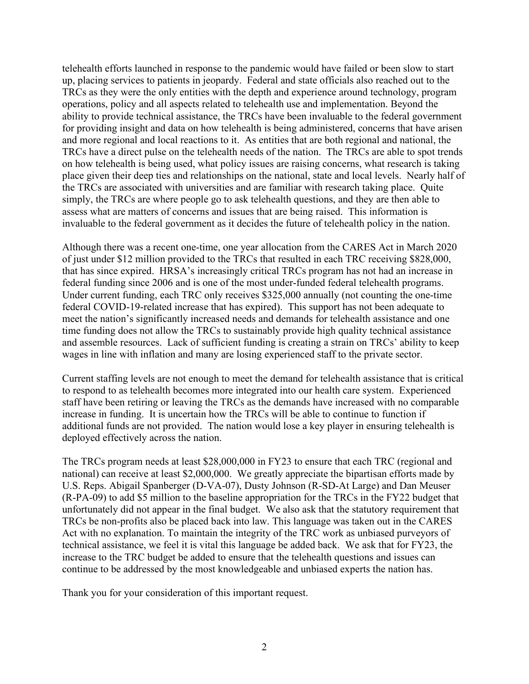telehealth efforts launched in response to the pandemic would have failed or been slow to start up, placing services to patients in jeopardy. Federal and state officials also reached out to the TRCs as they were the only entities with the depth and experience around technology, program operations, policy and all aspects related to telehealth use and implementation. Beyond the ability to provide technical assistance, the TRCs have been invaluable to the federal government for providing insight and data on how telehealth is being administered, concerns that have arisen and more regional and local reactions to it. As entities that are both regional and national, the TRCs have a direct pulse on the telehealth needs of the nation. The TRCs are able to spot trends on how telehealth is being used, what policy issues are raising concerns, what research is taking place given their deep ties and relationships on the national, state and local levels. Nearly half of the TRCs are associated with universities and are familiar with research taking place. Quite simply, the TRCs are where people go to ask telehealth questions, and they are then able to assess what are matters of concerns and issues that are being raised. This information is invaluable to the federal government as it decides the future of telehealth policy in the nation.

Although there was a recent one-time, one year allocation from the CARES Act in March 2020 of just under \$12 million provided to the TRCs that resulted in each TRC receiving \$828,000, that has since expired. HRSA's increasingly critical TRCs program has not had an increase in federal funding since 2006 and is one of the most under-funded federal telehealth programs. Under current funding, each TRC only receives \$325,000 annually (not counting the one-time federal COVID-19-related increase that has expired). This support has not been adequate to meet the nation's significantly increased needs and demands for telehealth assistance and one time funding does not allow the TRCs to sustainably provide high quality technical assistance and assemble resources. Lack of sufficient funding is creating a strain on TRCs' ability to keep wages in line with inflation and many are losing experienced staff to the private sector.

Current staffing levels are not enough to meet the demand for telehealth assistance that is critical to respond to as telehealth becomes more integrated into our health care system. Experienced staff have been retiring or leaving the TRCs as the demands have increased with no comparable increase in funding. It is uncertain how the TRCs will be able to continue to function if additional funds are not provided. The nation would lose a key player in ensuring telehealth is deployed effectively across the nation.

The TRCs program needs at least \$28,000,000 in FY23 to ensure that each TRC (regional and national) can receive at least \$2,000,000. We greatly appreciate the bipartisan efforts made by U.S. Reps. Abigail Spanberger (D-VA-07), Dusty Johnson (R-SD-At Large) and Dan Meuser (R-PA-09) to add \$5 million to the baseline appropriation for the TRCs in the FY22 budget that unfortunately did not appear in the final budget. We also ask that the statutory requirement that TRCs be non-profits also be placed back into law. This language was taken out in the CARES Act with no explanation. To maintain the integrity of the TRC work as unbiased purveyors of technical assistance, we feel it is vital this language be added back. We ask that for FY23, the increase to the TRC budget be added to ensure that the telehealth questions and issues can continue to be addressed by the most knowledgeable and unbiased experts the nation has.

Thank you for your consideration of this important request.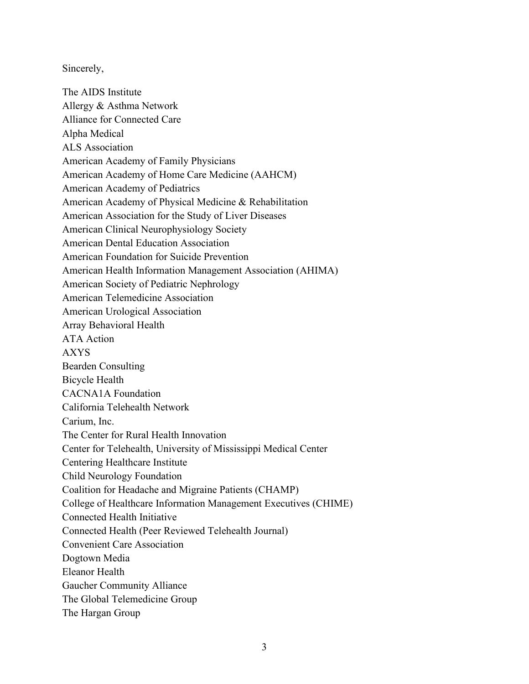Sincerely,

The AIDS Institute Allergy & Asthma Network Alliance for Connected Care Alpha Medical ALS Association American Academy of Family Physicians American Academy of Home Care Medicine (AAHCM) American Academy of Pediatrics American Academy of Physical Medicine & Rehabilitation American Association for the Study of Liver Diseases American Clinical Neurophysiology Society American Dental Education Association American Foundation for Suicide Prevention American Health Information Management Association (AHIMA) American Society of Pediatric Nephrology American Telemedicine Association American Urological Association Array Behavioral Health ATA Action AXYS Bearden Consulting Bicycle Health CACNA1A Foundation California Telehealth Network Carium, Inc. The Center for Rural Health Innovation Center for Telehealth, University of Mississippi Medical Center Centering Healthcare Institute Child Neurology Foundation Coalition for Headache and Migraine Patients (CHAMP) College of Healthcare Information Management Executives (CHIME) Connected Health Initiative Connected Health (Peer Reviewed Telehealth Journal) Convenient Care Association Dogtown Media Eleanor Health Gaucher Community Alliance The Global Telemedicine Group The Hargan Group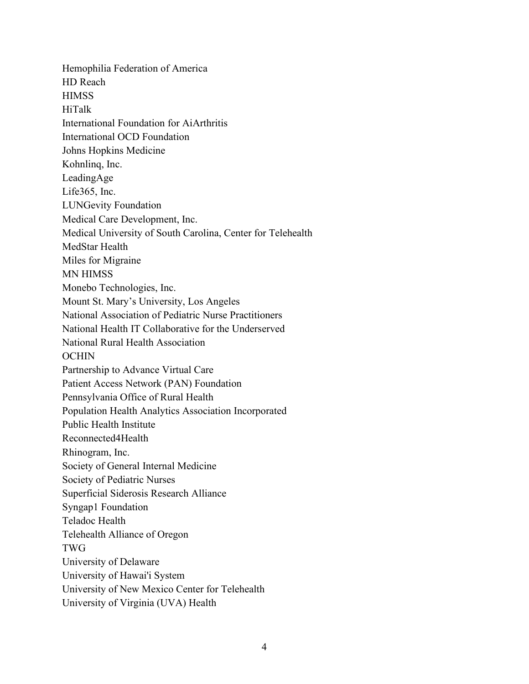Hemophilia Federation of America HD Reach **HIMSS** HiTalk International Foundation for AiArthritis International OCD Foundation Johns Hopkins Medicine Kohnlinq, Inc. LeadingAge Life365, Inc. LUNGevity Foundation Medical Care Development, Inc. Medical University of South Carolina, Center for Telehealth MedStar Health Miles for Migraine MN HIMSS Monebo Technologies, Inc. Mount St. Mary's University, Los Angeles National Association of Pediatric Nurse Practitioners National Health IT Collaborative for the Underserved National Rural Health Association **OCHIN** Partnership to Advance Virtual Care Patient Access Network (PAN) Foundation Pennsylvania Office of Rural Health Population Health Analytics Association Incorporated Public Health Institute Reconnected4Health Rhinogram, Inc. Society of General Internal Medicine Society of Pediatric Nurses Superficial Siderosis Research Alliance Syngap1 Foundation Teladoc Health Telehealth Alliance of Oregon TWG University of Delaware University of Hawai'i System University of New Mexico Center for Telehealth University of Virginia (UVA) Health